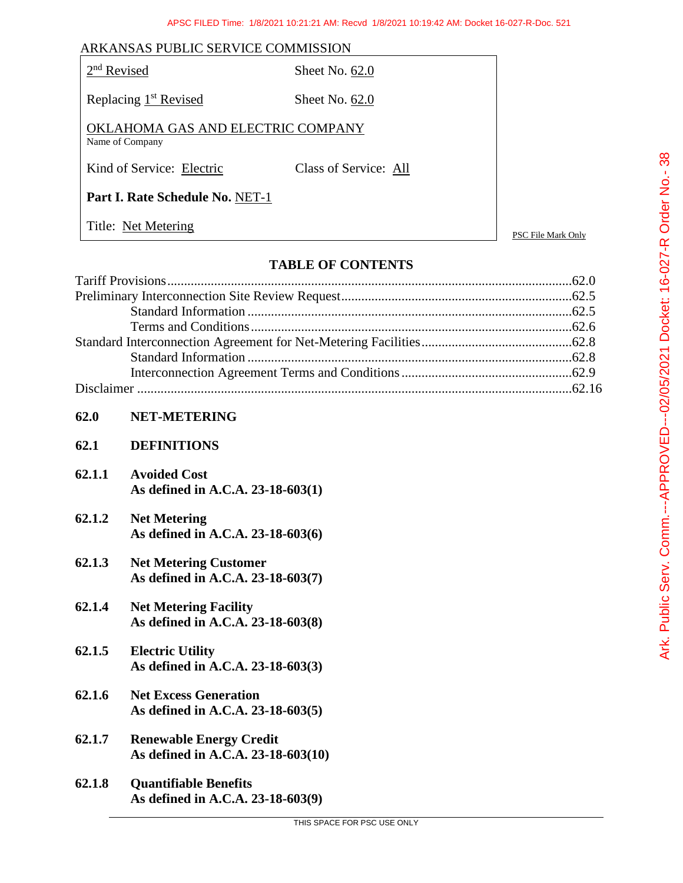| ARKANSAS PUBLIC SERVICE COMMISSION                   |                       |                    |
|------------------------------------------------------|-----------------------|--------------------|
| $2nd$ Revised                                        | Sheet No. $62.0$      |                    |
| Replacing 1 <sup>st</sup> Revised                    | Sheet No. $62.0$      |                    |
| OKLAHOMA GAS AND ELECTRIC COMPANY<br>Name of Company |                       |                    |
| Kind of Service: Electric                            | Class of Service: All |                    |
| Part I. Rate Schedule No. NET-1                      |                       |                    |
| Title: Net Metering                                  |                       | PSC File Mark Only |

# **TABLE OF CONTENTS**

| 62.0   | <b>NET-METERING</b>                                                  |  |
|--------|----------------------------------------------------------------------|--|
| 62.1   | <b>DEFINITIONS</b>                                                   |  |
| 62.1.1 | <b>Avoided Cost</b><br>As defined in A.C.A. 23-18-603(1)             |  |
| 62.1.2 | <b>Net Metering</b><br>As defined in A.C.A. 23-18-603(6)             |  |
| 62.1.3 | <b>Net Metering Customer</b><br>As defined in A.C.A. 23-18-603(7)    |  |
| 62.1.4 | <b>Net Metering Facility</b><br>As defined in A.C.A. 23-18-603(8)    |  |
| 62.1.5 | <b>Electric Utility</b><br>As defined in A.C.A. 23-18-603(3)         |  |
| 62.1.6 | <b>Net Excess Generation</b><br>As defined in A.C.A. 23-18-603(5)    |  |
| 62.1.7 | <b>Renewable Energy Credit</b><br>As defined in A.C.A. 23-18-603(10) |  |
| 62.1.8 | <b>Quantifiable Benefits</b><br>As defined in A.C.A. 23-18-603(9)    |  |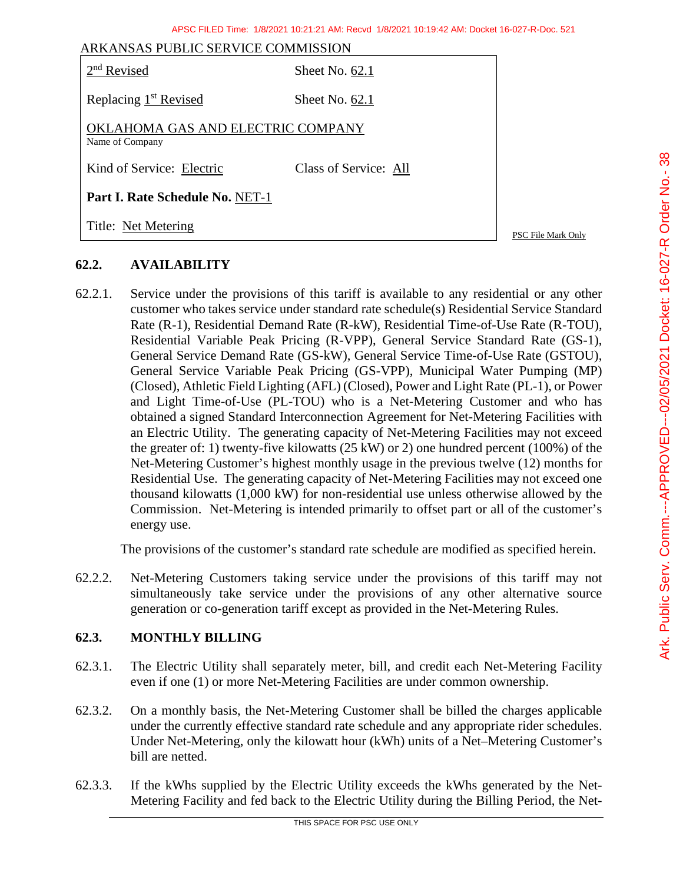| ARKANSAS PUBLIC SERVICE COMMISSION                   |                       |                    |
|------------------------------------------------------|-----------------------|--------------------|
| $2nd$ Revised                                        | Sheet No. $62.1$      |                    |
| Replacing 1 <sup>st</sup> Revised                    | Sheet No. $62.1$      |                    |
| OKLAHOMA GAS AND ELECTRIC COMPANY<br>Name of Company |                       |                    |
| Kind of Service: Electric                            | Class of Service: All |                    |
| Part I. Rate Schedule No. NET-1                      |                       |                    |
| Title: Net Metering                                  |                       | PSC File Mark Only |

# **62.2. AVAILABILITY**

62.2.1. Service under the provisions of this tariff is available to any residential or any other customer who takes service under standard rate schedule(s) Residential Service Standard Rate (R-1), Residential Demand Rate (R-kW), Residential Time-of-Use Rate (R-TOU), Residential Variable Peak Pricing (R-VPP), General Service Standard Rate (GS-1), General Service Demand Rate (GS-kW), General Service Time-of-Use Rate (GSTOU), General Service Variable Peak Pricing (GS-VPP), Municipal Water Pumping (MP) (Closed), Athletic Field Lighting (AFL) (Closed), Power and Light Rate (PL-1), or Power and Light Time-of-Use (PL-TOU) who is a Net-Metering Customer and who has obtained a signed Standard Interconnection Agreement for Net-Metering Facilities with an Electric Utility. The generating capacity of Net-Metering Facilities may not exceed the greater of: 1) twenty-five kilowatts (25 kW) or 2) one hundred percent (100%) of the Net-Metering Customer's highest monthly usage in the previous twelve (12) months for Residential Use. The generating capacity of Net-Metering Facilities may not exceed one thousand kilowatts (1,000 kW) for non-residential use unless otherwise allowed by the Commission. Net-Metering is intended primarily to offset part or all of the customer's energy use.

The provisions of the customer's standard rate schedule are modified as specified herein.

62.2.2. Net-Metering Customers taking service under the provisions of this tariff may not simultaneously take service under the provisions of any other alternative source generation or co-generation tariff except as provided in the Net-Metering Rules.

### **62.3. MONTHLY BILLING**

- 62.3.1. The Electric Utility shall separately meter, bill, and credit each Net-Metering Facility even if one (1) or more Net-Metering Facilities are under common ownership.
- 62.3.2. On a monthly basis, the Net-Metering Customer shall be billed the charges applicable under the currently effective standard rate schedule and any appropriate rider schedules. Under Net-Metering, only the kilowatt hour (kWh) units of a Net–Metering Customer's bill are netted.
- 62.3.3. If the kWhs supplied by the Electric Utility exceeds the kWhs generated by the Net-Metering Facility and fed back to the Electric Utility during the Billing Period, the Net-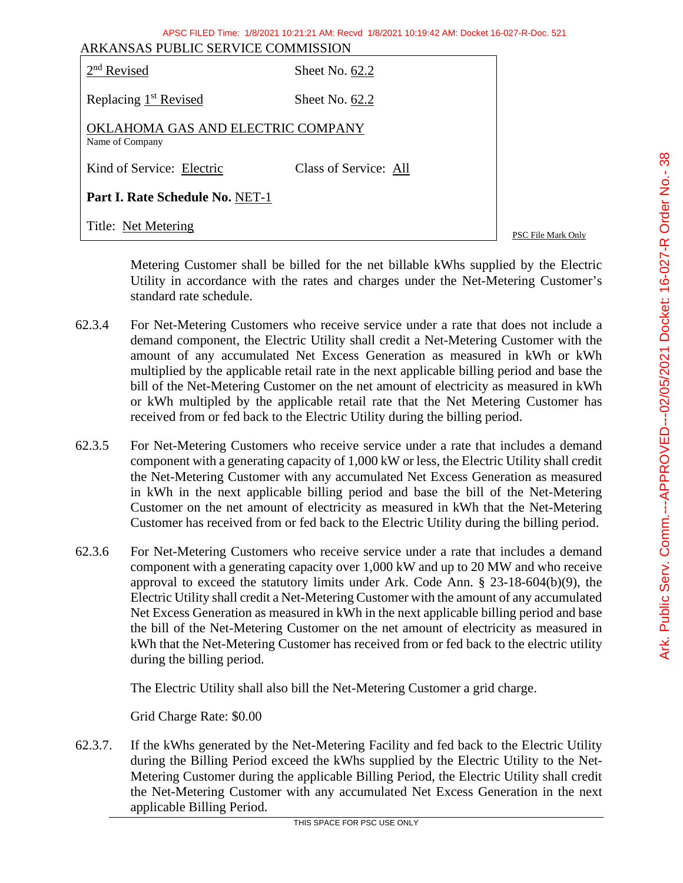|                 | ARKANSAS PUBLIC SERVICE COMMISSION | APSC FILED Time: 1/8/2021 10:21:21 AM: Recvd 1/8/2021 10:19:42 AM: Docket 16-027-R-Doc. 521                                                                                                                                                                                                                                                                                                                                                                                                                                                                                                                                    |                    |                                                    |
|-----------------|------------------------------------|--------------------------------------------------------------------------------------------------------------------------------------------------------------------------------------------------------------------------------------------------------------------------------------------------------------------------------------------------------------------------------------------------------------------------------------------------------------------------------------------------------------------------------------------------------------------------------------------------------------------------------|--------------------|----------------------------------------------------|
| $2nd$ Revised   |                                    | Sheet No. 62.2                                                                                                                                                                                                                                                                                                                                                                                                                                                                                                                                                                                                                 |                    |                                                    |
|                 | Replacing 1 <sup>st</sup> Revised  | Sheet No. 62.2                                                                                                                                                                                                                                                                                                                                                                                                                                                                                                                                                                                                                 |                    |                                                    |
| Name of Company | OKLAHOMA GAS AND ELECTRIC COMPANY  |                                                                                                                                                                                                                                                                                                                                                                                                                                                                                                                                                                                                                                |                    |                                                    |
|                 | Kind of Service: Electric          | Class of Service: All                                                                                                                                                                                                                                                                                                                                                                                                                                                                                                                                                                                                          |                    | $\alpha$                                           |
|                 | Part I. Rate Schedule No. NET-1    |                                                                                                                                                                                                                                                                                                                                                                                                                                                                                                                                                                                                                                |                    | Order No                                           |
|                 | Title: Net Metering                |                                                                                                                                                                                                                                                                                                                                                                                                                                                                                                                                                                                                                                | PSC File Mark Only |                                                    |
| 2.3.4           | standard rate schedule.            | Metering Customer shall be billed for the net billable kWhs supplied by the Electric<br>Utility in accordance with the rates and charges under the Net-Metering Customer's<br>For Net-Metering Customers who receive service under a rate that does not include a<br>demand component, the Electric Utility shall credit a Net-Metering Customer with the<br>amount of any accumulated Net Excess Generation as measured in kWh or kWh<br>multiplied by the applicable retail rate in the next applicable billing period and base the<br>bill of the Net-Metering Customer on the net amount of electricity as measured in kWh |                    | $16-027 - R$<br>Docket <sup>.</sup><br><b>2006</b> |

- 62.3.4 For Net-Metering Customers who receive service demand component, the Electric Utility shall credit a Netamount of any accumulated Net Excess Gen multiplied by the applicable retail rate in the next bill of the Net-Metering Customer on the net amount of electricity as measured in kWh or kWh multipled by the applicable retail rate that the Net Metering Customer has received from or fed back to the Electric Utility during the billing period.
- 62.3.5 For Net-Metering Customers who receive service under a rate that includes a demand component with a generating capacity of 1,000 kW or less, the Electric Utility shall credit the Net-Metering Customer with any accumulated Net Excess Generation as measured in kWh in the next applicable billing period and base the bill of the Net-Metering Customer on the net amount of electricity as measured in kWh that the Net-Metering Customer has received from or fed back to the Electric Utility during the billing period.
- 62.3.6 For Net-Metering Customers who receive service under a rate that includes a demand component with a generating capacity over 1,000 kW and up to 20 MW and who receive approval to exceed the statutory limits under Ark. Code Ann. § 23-18-604(b)(9), the Electric Utility shall credit a Net-Metering Customer with the amount of any accumulated Net Excess Generation as measured in kWh in the next applicable billing period and base the bill of the Net-Metering Customer on the net amount of electricity as measured in kWh that the Net-Metering Customer has received from or fed back to the electric utility during the billing period.

The Electric Utility shall also bill the Net-Metering Customer a grid charge.

Grid Charge Rate: \$0.00

62.3.7. If the kWhs generated by the Net-Metering Facility and fed back to the Electric Utility during the Billing Period exceed the kWhs supplied by the Electric Utility to the Net-Metering Customer during the applicable Billing Period, the Electric Utility shall credit the Net-Metering Customer with any accumulated Net Excess Generation in the next applicable Billing Period.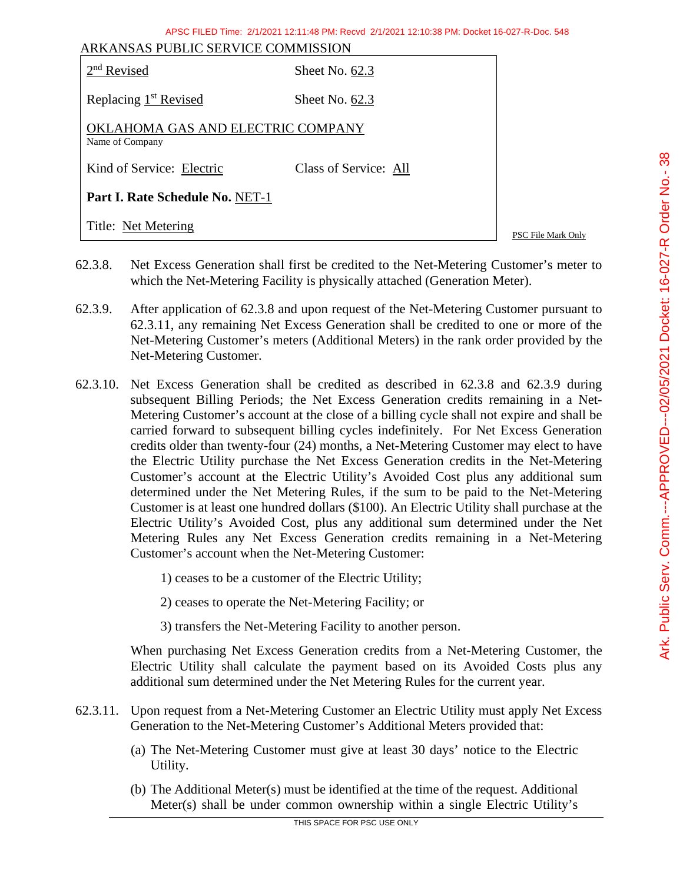APSC FILED Time: 2/1/2021 12:11:48 PM: Recvd 2/1/2021 12:10:38 PM: Docket 16-027-R-Doc. 548

| ARKANSAS PUBLIC SERVICE COMMISSION<br>$2nd$ Revised  | Sheet No. $62.3$      |                    |
|------------------------------------------------------|-----------------------|--------------------|
| Replacing 1 <sup>st</sup> Revised                    | Sheet No. $62.3$      |                    |
| OKLAHOMA GAS AND ELECTRIC COMPANY<br>Name of Company |                       |                    |
| Kind of Service: Electric                            | Class of Service: All |                    |
| <b>Part I. Rate Schedule No. NET-1</b>               |                       |                    |
| Title: Net Metering                                  |                       | PSC File Mark Only |

- 62.3.8. Net Excess Generation shall first be credited to the Net-Metering Customer's meter to which the Net-Metering Facility is physically attached (Generation Meter).
- 62.3.9. After application of 62.3.8 and upon request of the Net-Metering Customer pursuant to 62.3.11, any remaining Net Excess Generation shall be credited to one or more of the Net-Metering Customer's meters (Additional Meters) in the rank order provided by the Net-Metering Customer.
- 62.3.10. Net Excess Generation shall be credited as described in 62.3.8 and 62.3.9 during subsequent Billing Periods; the Net Excess Generation credits remaining in a Net-Metering Customer's account at the close of a billing cycle shall not expire and shall be carried forward to subsequent billing cycles indefinitely. For Net Excess Generation credits older than twenty-four (24) months, a Net-Metering Customer may elect to have the Electric Utility purchase the Net Excess Generation credits in the Net-Metering Customer's account at the Electric Utility's Avoided Cost plus any additional sum determined under the Net Metering Rules, if the sum to be paid to the Net-Metering Customer is at least one hundred dollars (\$100). An Electric Utility shall purchase at the Electric Utility's Avoided Cost, plus any additional sum determined under the Net Metering Rules any Net Excess Generation credits remaining in a Net-Metering Customer's account when the Net-Metering Customer:

1) ceases to be a customer of the Electric Utility;

2) ceases to operate the Net-Metering Facility; or

3) transfers the Net-Metering Facility to another person.

When purchasing Net Excess Generation credits from a Net-Metering Customer, the Electric Utility shall calculate the payment based on its Avoided Costs plus any additional sum determined under the Net Metering Rules for the current year.

- 62.3.11. Upon request from a Net-Metering Customer an Electric Utility must apply Net Excess Generation to the Net-Metering Customer's Additional Meters provided that:
	- (a) The Net-Metering Customer must give at least 30 days' notice to the Electric Utility.
	- (b) The Additional Meter(s) must be identified at the time of the request. Additional Meter(s) shall be under common ownership within a single Electric Utility's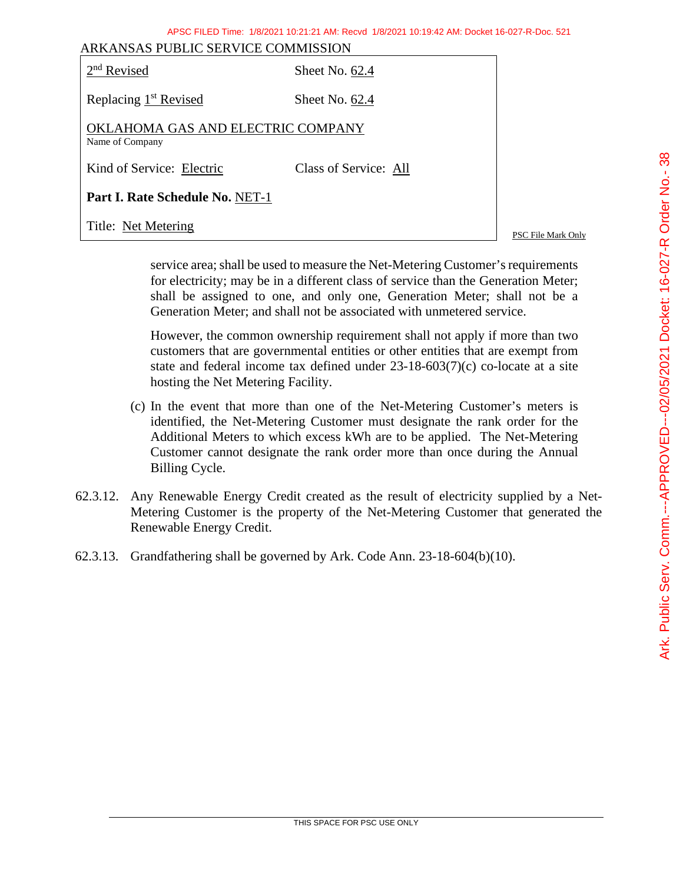| ARKANSAS PUBLIC SERVICE COMMISSION                   |                       |                           |
|------------------------------------------------------|-----------------------|---------------------------|
| $2nd$ Revised                                        | Sheet No. 62.4        |                           |
| Replacing 1 <sup>st</sup> Revised                    | Sheet No. 62.4        |                           |
| OKLAHOMA GAS AND ELECTRIC COMPANY<br>Name of Company |                       |                           |
| Kind of Service: Electric                            | Class of Service: All |                           |
| Part I. Rate Schedule No. NET-1                      |                       |                           |
| Title: Net Metering                                  |                       | <b>PSC File Mark Only</b> |

service area; shall be used to measure the Net-Metering Customer's requirements for electricity; may be in a different class of service than the Generation Meter; shall be assigned to one, and only one, Generation Meter; shall not be a Generation Meter; and shall not be associated with unmetered service.

APSC FILED Time: 1/8/2021 10:21:21 AM: Recvd 1/8/2021 10:19:42 AM: Docket 16-027-R-Doc. 521

However, the common ownership requirement shall not apply if more than two customers that are governmental entities or other entities that are exempt from state and federal income tax defined under 23-18-603(7)(c) co-locate at a site hosting the Net Metering Facility.

- (c) In the event that more than one of the Net-Metering Customer's meters is identified, the Net-Metering Customer must designate the rank order for the Additional Meters to which excess kWh are to be applied. The Net-Metering Customer cannot designate the rank order more than once during the Annual Billing Cycle.
- 62.3.12. Any Renewable Energy Credit created as the result of electricity supplied by a Net-Metering Customer is the property of the Net-Metering Customer that generated the Renewable Energy Credit.
- 62.3.13. Grandfathering shall be governed by Ark. Code Ann. 23-18-604(b)(10).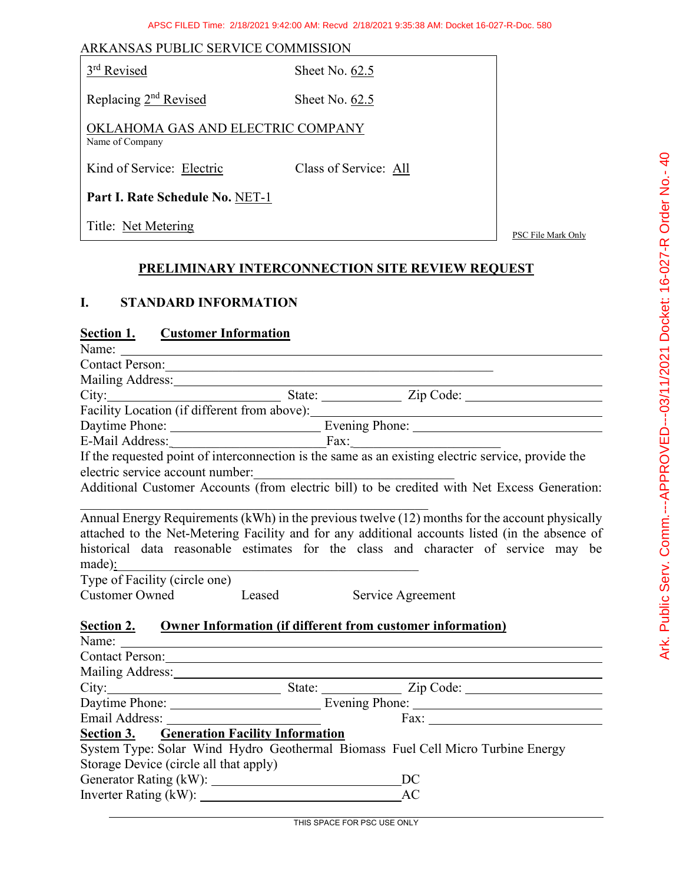#### ARKANSAS PUBLIC SERVICE COMMISSION

Sheet No.  $62.5$ 

Replacing 2<sup>nd</sup> Revised Sheet No. 62.5

OKLAHOMA GAS AND ELECTRIC COMPANY Name of Company

Kind of Service: Electric Class of Service: All

**Part I. Rate Schedule No.** NET-1

Title: Net Metering PSC File Mark Only

#### **PRELIMINARY INTERCONNECTION SITE REVIEW REQUEST**

# **I. STANDARD INFORMATION**

#### **Section 1. Customer Information**

| Contact Person:                                                                                                |                                                                                                                                                                                                                                                                                         |
|----------------------------------------------------------------------------------------------------------------|-----------------------------------------------------------------------------------------------------------------------------------------------------------------------------------------------------------------------------------------------------------------------------------------|
|                                                                                                                |                                                                                                                                                                                                                                                                                         |
|                                                                                                                | City: State: Zip Code:                                                                                                                                                                                                                                                                  |
|                                                                                                                | Facility Location (if different from above):                                                                                                                                                                                                                                            |
|                                                                                                                | Daytime Phone: <u>New York: Evening Phone:</u> New York: New York: New York: New York: New York: New York: New York: New York: New York: New York: New York: New York: New York: New York: New York: New York: New York: New York:                                                      |
|                                                                                                                | E-Mail Address:<br>If the requested point of interconnection is the same as an existing electric service, provide the                                                                                                                                                                   |
|                                                                                                                |                                                                                                                                                                                                                                                                                         |
| electric service account number:                                                                               |                                                                                                                                                                                                                                                                                         |
|                                                                                                                | Additional Customer Accounts (from electric bill) to be credited with Net Excess Generation:                                                                                                                                                                                            |
| made):<br><u> 1989 - Johann Stoff, fransk politik (d. 1989)</u>                                                | Annual Energy Requirements (kWh) in the previous twelve (12) months for the account physically<br>attached to the Net-Metering Facility and for any additional accounts listed (in the absence of<br>historical data reasonable estimates for the class and character of service may be |
| Type of Facility (circle one)                                                                                  |                                                                                                                                                                                                                                                                                         |
| Customer Owned Leased Service Agreement                                                                        |                                                                                                                                                                                                                                                                                         |
| Section 2. Owner Information (if different from customer information)                                          |                                                                                                                                                                                                                                                                                         |
|                                                                                                                | Contact Person: 2008. Contact Person:                                                                                                                                                                                                                                                   |
|                                                                                                                |                                                                                                                                                                                                                                                                                         |
|                                                                                                                | City: City: State: City: City: City: City: City: City: City: City: City: City: City: City: City: City: City: City: City: City: City: City: City: City: City: City: City: City: City: City: City: City: City: City: City: City:                                                          |
|                                                                                                                |                                                                                                                                                                                                                                                                                         |
| Email Address: No. 1996. All Annual Address: No. 1997. The Manual Address: No. 1997. The Manual Address: No. 1 |                                                                                                                                                                                                                                                                                         |
| <b>Section 3. • Generation Facility Information</b>                                                            |                                                                                                                                                                                                                                                                                         |
|                                                                                                                | System Type: Solar Wind Hydro Geothermal Biomass Fuel Cell Micro Turbine Energy                                                                                                                                                                                                         |
| Storage Device (circle all that apply)                                                                         |                                                                                                                                                                                                                                                                                         |
|                                                                                                                |                                                                                                                                                                                                                                                                                         |
|                                                                                                                |                                                                                                                                                                                                                                                                                         |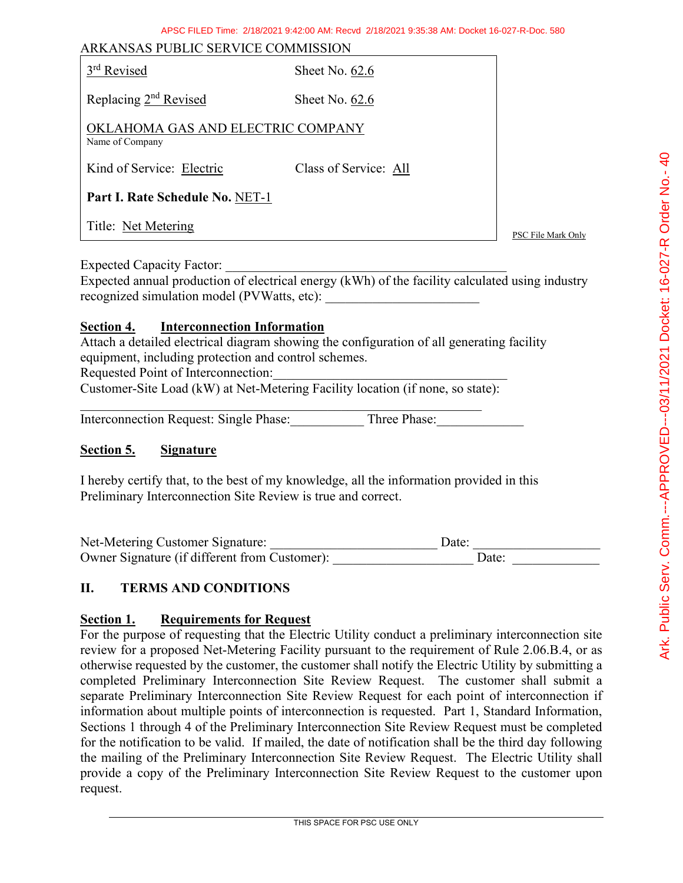| ARKANSAS PUBLIC SERVICE COMMISSION                   |                       |                    |
|------------------------------------------------------|-----------------------|--------------------|
| 3 <sup>rd</sup> Revised                              | Sheet No. $62.6$      |                    |
| Replacing 2 <sup>nd</sup> Revised                    | Sheet No. 62.6        |                    |
| OKLAHOMA GAS AND ELECTRIC COMPANY<br>Name of Company |                       |                    |
| Kind of Service: Electric                            | Class of Service: All |                    |
| Part I. Rate Schedule No. NET-1                      |                       |                    |
| Title: Net Metering                                  |                       | PSC File Mark Only |

Expected Capacity Factor:

Expected annual production of electrical energy (kWh) of the facility calculated using industry recognized simulation model (PVWatts, etc):

#### **Section 4. Interconnection Information**

Attach a detailed electrical diagram showing the configuration of all generating facility equipment, including protection and control schemes.

Requested Point of Interconnection:

Customer-Site Load (kW) at Net-Metering Facility location (if none, so state):

 $\mathcal{L}_\text{G}$ 

Interconnection Request: Single Phase: Three Phase:

#### **Section 5. Signature**

I hereby certify that, to the best of my knowledge, all the information provided in this Preliminary Interconnection Site Review is true and correct.

| Net-Metering Customer Signature:              | Date: |
|-----------------------------------------------|-------|
| Owner Signature (if different from Customer): | Date: |

# **II. TERMS AND CONDITIONS**

# **Section 1. Requirements for Request**

For the purpose of requesting that the Electric Utility conduct a preliminary interconnection site review for a proposed Net-Metering Facility pursuant to the requirement of Rule 2.06.B.4, or as otherwise requested by the customer, the customer shall notify the Electric Utility by submitting a completed Preliminary Interconnection Site Review Request. The customer shall submit a separate Preliminary Interconnection Site Review Request for each point of interconnection if information about multiple points of interconnection is requested. Part 1, Standard Information, Sections 1 through 4 of the Preliminary Interconnection Site Review Request must be completed for the notification to be valid. If mailed, the date of notification shall be the third day following the mailing of the Preliminary Interconnection Site Review Request. The Electric Utility shall provide a copy of the Preliminary Interconnection Site Review Request to the customer upon request.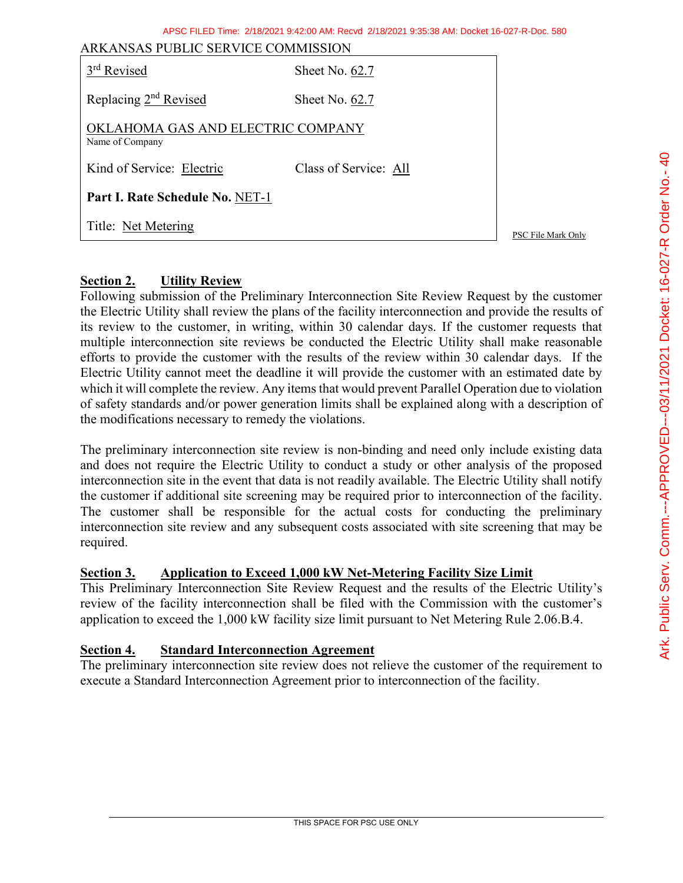|  | APSC FILED Time: 2/18/2021 9:42:00 AM: Recyd 2/18/2021 9:35:38 AM: Docket 16-027-R-Doc. 580 |
|--|---------------------------------------------------------------------------------------------|
|--|---------------------------------------------------------------------------------------------|

| ARKANSAS PUBLIC SERVICE COMMISSION                   |                       |                    |
|------------------------------------------------------|-----------------------|--------------------|
| 3 <sup>rd</sup> Revised                              | Sheet No. 62.7        |                    |
| Replacing 2 <sup>nd</sup> Revised                    | Sheet No. 62.7        |                    |
| OKLAHOMA GAS AND ELECTRIC COMPANY<br>Name of Company |                       |                    |
| Kind of Service: Electric                            | Class of Service: All |                    |
| Part I. Rate Schedule No. NET-1                      |                       |                    |
| Title: Net Metering                                  |                       | PSC File Mark Only |

#### **Section 2. Utility Review**

Following submission of the Preliminary Interconnection Site Review Request by the customer the Electric Utility shall review the plans of the facility interconnection and provide the results of its review to the customer, in writing, within 30 calendar days. If the customer requests that multiple interconnection site reviews be conducted the Electric Utility shall make reasonable efforts to provide the customer with the results of the review within 30 calendar days. If the Electric Utility cannot meet the deadline it will provide the customer with an estimated date by which it will complete the review. Any items that would prevent Parallel Operation due to violation of safety standards and/or power generation limits shall be explained along with a description of the modifications necessary to remedy the violations.

The preliminary interconnection site review is non-binding and need only include existing data and does not require the Electric Utility to conduct a study or other analysis of the proposed interconnection site in the event that data is not readily available. The Electric Utility shall notify the customer if additional site screening may be required prior to interconnection of the facility. The customer shall be responsible for the actual costs for conducting the preliminary interconnection site review and any subsequent costs associated with site screening that may be required.

#### **Section 3. Application to Exceed 1,000 kW Net-Metering Facility Size Limit**

This Preliminary Interconnection Site Review Request and the results of the Electric Utility's review of the facility interconnection shall be filed with the Commission with the customer's application to exceed the 1,000 kW facility size limit pursuant to Net Metering Rule 2.06.B.4.

#### **Section 4. Standard Interconnection Agreement**

The preliminary interconnection site review does not relieve the customer of the requirement to execute a Standard Interconnection Agreement prior to interconnection of the facility.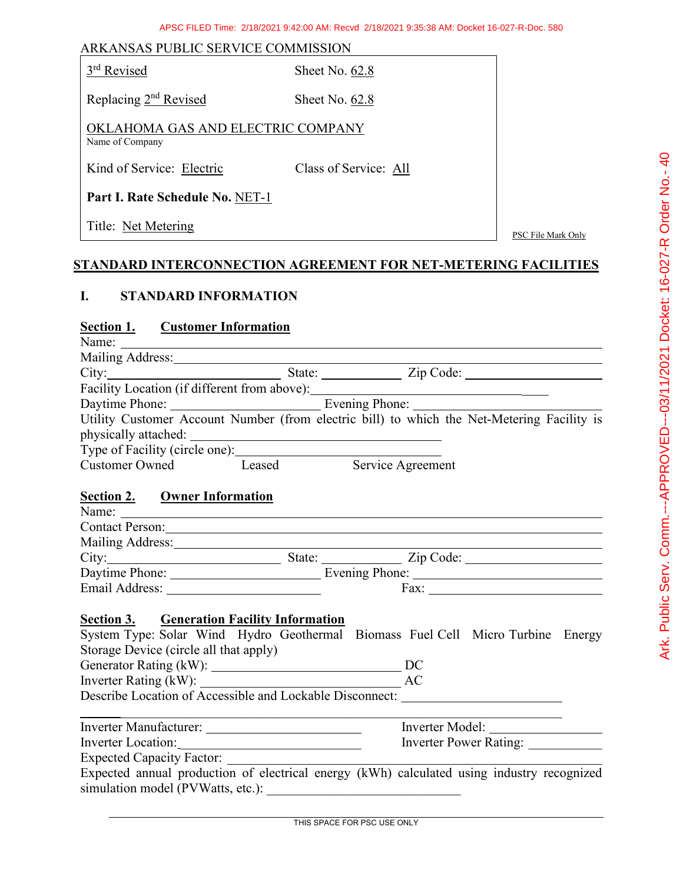|  |  |  | ARKANSAS PUBLIC SERVICE COMMISSION |
|--|--|--|------------------------------------|
|--|--|--|------------------------------------|

| 3 <sup>rd</sup> Revised |  |
|-------------------------|--|
|                         |  |

Sheet No.  $62.8$ 

Replacing 2<sup>nd</sup> Revised Sheet No. 62.8

OKLAHOMA GAS AND ELECTRIC COMPANY Name of Company

Kind of Service: Electric Class of Service: All

**Part I. Rate Schedule No.** NET-1

Title: <u>Net Metering</u> PSC File Mark Only

# **STANDARD INTERCONNECTION AGREEMENT FOR NET-METERING FACILITIES**

### **I. STANDARD INFORMATION**

# **Section 1. Customer Information**

| <u> 5000000 1.</u> | <u>Customer</u> miormation                                                                                                                                                                                                                                                                                                                                                                                    |                        |
|--------------------|---------------------------------------------------------------------------------------------------------------------------------------------------------------------------------------------------------------------------------------------------------------------------------------------------------------------------------------------------------------------------------------------------------------|------------------------|
|                    | Name: $\frac{1}{\sqrt{1-\frac{1}{2}}\sqrt{1-\frac{1}{2}}\sqrt{1-\frac{1}{2}}\sqrt{1-\frac{1}{2}}\sqrt{1-\frac{1}{2}}\sqrt{1-\frac{1}{2}}\sqrt{1-\frac{1}{2}}\sqrt{1-\frac{1}{2}}\sqrt{1-\frac{1}{2}}\sqrt{1-\frac{1}{2}}\sqrt{1-\frac{1}{2}}\sqrt{1-\frac{1}{2}}\sqrt{1-\frac{1}{2}}\sqrt{1-\frac{1}{2}}\sqrt{1-\frac{1}{2}}\sqrt{1-\frac{1}{2}}\sqrt{1-\frac{1}{2}}\sqrt{1-\frac{1}{2}}\sqrt{1-\frac{1}{2}}$ |                        |
|                    |                                                                                                                                                                                                                                                                                                                                                                                                               |                        |
|                    | City: City: State: Zip Code:                                                                                                                                                                                                                                                                                                                                                                                  |                        |
|                    | Facility Location (if different from above): ___________________________________                                                                                                                                                                                                                                                                                                                              |                        |
|                    |                                                                                                                                                                                                                                                                                                                                                                                                               |                        |
|                    | Utility Customer Account Number (from electric bill) to which the Net-Metering Facility is                                                                                                                                                                                                                                                                                                                    |                        |
|                    |                                                                                                                                                                                                                                                                                                                                                                                                               |                        |
|                    |                                                                                                                                                                                                                                                                                                                                                                                                               |                        |
|                    | Customer Owned Leased                                                                                                                                                                                                                                                                                                                                                                                         | Service Agreement      |
|                    |                                                                                                                                                                                                                                                                                                                                                                                                               |                        |
|                    | <b>Section 2. Owner Information</b>                                                                                                                                                                                                                                                                                                                                                                           |                        |
|                    |                                                                                                                                                                                                                                                                                                                                                                                                               |                        |
|                    | Contact Person: Note of the Contact Person:                                                                                                                                                                                                                                                                                                                                                                   |                        |
|                    |                                                                                                                                                                                                                                                                                                                                                                                                               |                        |
|                    | City: City: City: City: City: City: City: City: City: City: City: City: City: City: City: City: City: City: City: City: City: City: City: City: City: City: City: City: City: City: City: City: City: City: City: City: City:                                                                                                                                                                                 |                        |
|                    |                                                                                                                                                                                                                                                                                                                                                                                                               |                        |
|                    |                                                                                                                                                                                                                                                                                                                                                                                                               |                        |
|                    |                                                                                                                                                                                                                                                                                                                                                                                                               |                        |
|                    | <b>Section 3. • Generation Facility Information</b>                                                                                                                                                                                                                                                                                                                                                           |                        |
|                    | System Type: Solar Wind Hydro Geothermal Biomass Fuel Cell Micro Turbine Energy                                                                                                                                                                                                                                                                                                                               |                        |
|                    | Storage Device (circle all that apply)                                                                                                                                                                                                                                                                                                                                                                        |                        |
|                    |                                                                                                                                                                                                                                                                                                                                                                                                               |                        |
|                    |                                                                                                                                                                                                                                                                                                                                                                                                               |                        |
|                    |                                                                                                                                                                                                                                                                                                                                                                                                               |                        |
|                    |                                                                                                                                                                                                                                                                                                                                                                                                               |                        |
|                    |                                                                                                                                                                                                                                                                                                                                                                                                               |                        |
|                    |                                                                                                                                                                                                                                                                                                                                                                                                               | Inverter Power Rating: |
|                    | <b>Expected Capacity Factor:</b>                                                                                                                                                                                                                                                                                                                                                                              |                        |
|                    | Expected annual production of electrical energy (kWh) calculated using industry recognized                                                                                                                                                                                                                                                                                                                    |                        |
|                    |                                                                                                                                                                                                                                                                                                                                                                                                               |                        |
|                    | Describe Location of Accessible and Lockable Disconnect: National Accessible and Lockable Disconnect:<br>Inverter Location:                                                                                                                                                                                                                                                                                   |                        |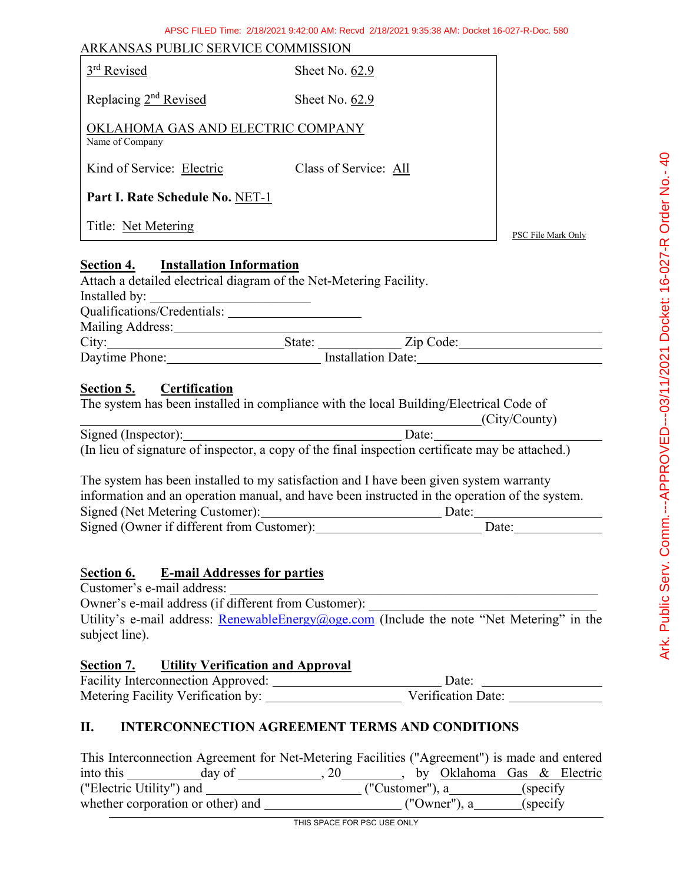| ARKANSAS PUBLIC SERVICE COMMISSION                                                                                                                                        |                                                                                                                                                                                                                                        |                           |
|---------------------------------------------------------------------------------------------------------------------------------------------------------------------------|----------------------------------------------------------------------------------------------------------------------------------------------------------------------------------------------------------------------------------------|---------------------------|
| 3rd Revised                                                                                                                                                               | Sheet No. 62.9                                                                                                                                                                                                                         |                           |
| Replacing 2 <sup>nd</sup> Revised                                                                                                                                         | Sheet No. 62.9                                                                                                                                                                                                                         |                           |
| OKLAHOMA GAS AND ELECTRIC COMPANY<br>Name of Company                                                                                                                      |                                                                                                                                                                                                                                        |                           |
| Kind of Service: Electric Class of Service: All                                                                                                                           |                                                                                                                                                                                                                                        |                           |
| Part I. Rate Schedule No. NET-1                                                                                                                                           |                                                                                                                                                                                                                                        |                           |
| Title: Net Metering                                                                                                                                                       |                                                                                                                                                                                                                                        | <b>PSC File Mark Only</b> |
| <b>Installation Information</b><br>Section 4.<br>Attach a detailed electrical diagram of the Net-Metering Facility.<br>Installed by:<br>Mailing Address: Mailing Address: |                                                                                                                                                                                                                                        |                           |
|                                                                                                                                                                           | City: State: <u>State:</u> Zip Code:                                                                                                                                                                                                   |                           |
|                                                                                                                                                                           | Daytime Phone: Installation Date: Installation Date:                                                                                                                                                                                   |                           |
| Section 5.<br><b>Certification</b>                                                                                                                                        | The system has been installed in compliance with the local Building/Electrical Code of<br>(City/County)                                                                                                                                |                           |
|                                                                                                                                                                           | Signed (Inspector): Date: Date: Date: Date: Date: Date: Charles of signature of inspector, a copy of the final inspection certificate may be attached.)                                                                                |                           |
| Signed (Owner if different from Customer): 1997                                                                                                                           | The system has been installed to my satisfaction and I have been given system warranty<br>information and an operation manual, and have been instructed in the operation of the system.<br>Signed (Net Metering Customer): Date: Date: | Date: $\qquad \qquad$     |
|                                                                                                                                                                           |                                                                                                                                                                                                                                        |                           |
| <b>E-mail Addresses for parties</b><br>Section 6.<br>Customer's e-mail address:<br>Owner's e-mail address (if different from Customer):<br>subject line).                 | Utility's e-mail address: RenewableEnergy@oge.com (Include the note "Net Metering" in the                                                                                                                                              |                           |
| Section 7.<br><b>Utility Verification and Approval</b>                                                                                                                    |                                                                                                                                                                                                                                        |                           |
|                                                                                                                                                                           |                                                                                                                                                                                                                                        |                           |

# **II. INTERCONNECTION AGREEMENT TERMS AND CONDITIONS**

| This Interconnection Agreement for Net-Metering Facilities ("Agreement") is made and entered |        |      |  |                            |           |  |
|----------------------------------------------------------------------------------------------|--------|------|--|----------------------------|-----------|--|
| into this                                                                                    | day of | . 20 |  | by Oklahoma Gas & Electric |           |  |
| ("Electric Utility") and                                                                     |        |      |  | ("Customer"), a            | (specify) |  |
| whether corporation or other) and                                                            |        |      |  | ("Owner"), a               | (specify) |  |

THIS SPACE FOR PSC USE ONLY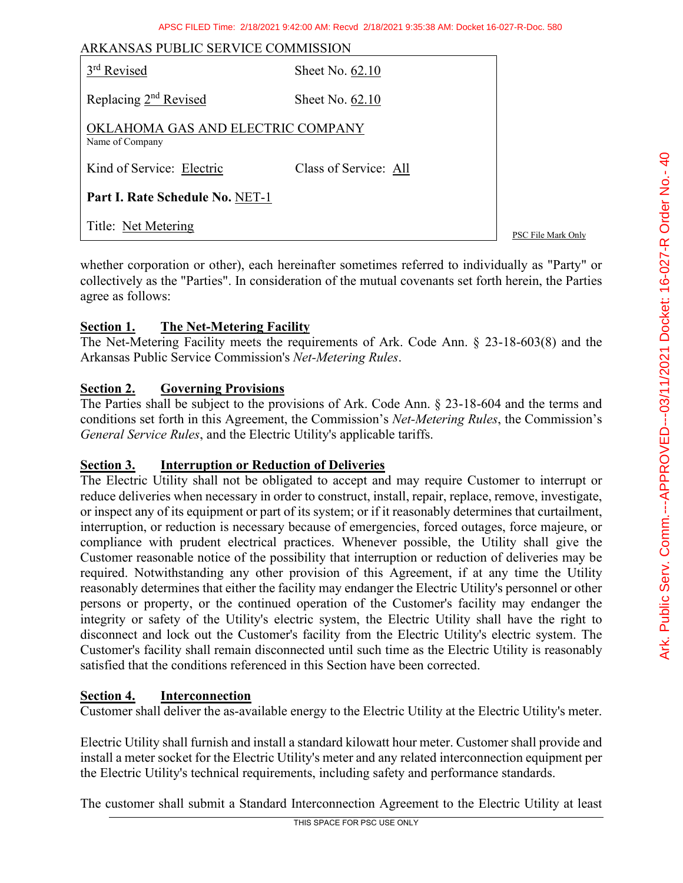| ARKANSAS PUBLIC SERVICE COMMISSION                   |                       |                    |  |
|------------------------------------------------------|-----------------------|--------------------|--|
| 3 <sup>rd</sup> Revised                              | Sheet No. 62.10       |                    |  |
| Replacing 2 <sup>nd</sup> Revised                    | Sheet No. $62.10$     |                    |  |
| OKLAHOMA GAS AND ELECTRIC COMPANY<br>Name of Company |                       |                    |  |
| Kind of Service: Electric                            | Class of Service: All |                    |  |
| Part I. Rate Schedule No. NET-1                      |                       |                    |  |
| Title: Net Metering                                  |                       | PSC File Mark Only |  |

whether corporation or other), each hereinafter sometimes referred to individually as "Party" or collectively as the "Parties". In consideration of the mutual covenants set forth herein, the Parties agree as follows:

### **Section 1. The Net-Metering Facility**

The Net-Metering Facility meets the requirements of Ark. Code Ann. § 23-18-603(8) and the Arkansas Public Service Commission's *Net-Metering Rules*.

### **Section 2. Governing Provisions**

The Parties shall be subject to the provisions of Ark. Code Ann. § 23-18-604 and the terms and conditions set forth in this Agreement, the Commission's *Net-Metering Rules*, the Commission's *General Service Rules*, and the Electric Utility's applicable tariffs.

#### **Section 3. Interruption or Reduction of Deliveries**

The Electric Utility shall not be obligated to accept and may require Customer to interrupt or reduce deliveries when necessary in order to construct, install, repair, replace, remove, investigate, or inspect any of its equipment or part of its system; or if it reasonably determines that curtailment, interruption, or reduction is necessary because of emergencies, forced outages, force majeure, or compliance with prudent electrical practices. Whenever possible, the Utility shall give the Customer reasonable notice of the possibility that interruption or reduction of deliveries may be required. Notwithstanding any other provision of this Agreement, if at any time the Utility reasonably determines that either the facility may endanger the Electric Utility's personnel or other persons or property, or the continued operation of the Customer's facility may endanger the integrity or safety of the Utility's electric system, the Electric Utility shall have the right to disconnect and lock out the Customer's facility from the Electric Utility's electric system. The Customer's facility shall remain disconnected until such time as the Electric Utility is reasonably satisfied that the conditions referenced in this Section have been corrected.

#### **Section 4. Interconnection**

Customer shall deliver the as-available energy to the Electric Utility at the Electric Utility's meter.

Electric Utility shall furnish and install a standard kilowatt hour meter. Customer shall provide and install a meter socket for the Electric Utility's meter and any related interconnection equipment per the Electric Utility's technical requirements, including safety and performance standards.

The customer shall submit a Standard Interconnection Agreement to the Electric Utility at least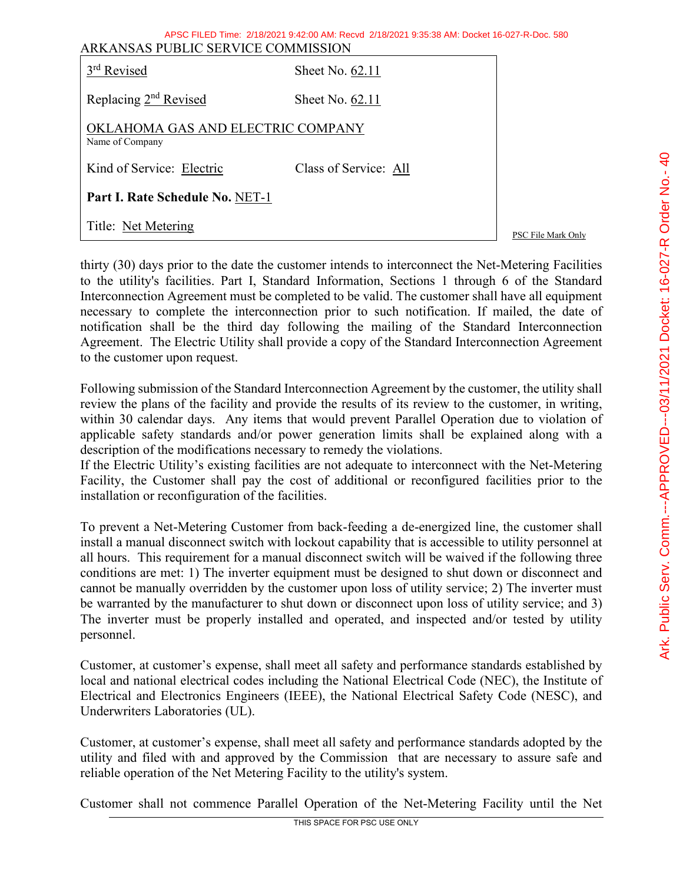| ARKANSAS PUBLIC SERVICE COMMISSION                   | APSC FILED Time: 2/18/2021 9:42:00 AM: Recyd 2/18/2021 9:35:38 AM: Docket 16-027-R-Doc. 580 |                    |
|------------------------------------------------------|---------------------------------------------------------------------------------------------|--------------------|
| 3 <sup>rd</sup> Revised                              | Sheet No. $62.11$                                                                           |                    |
| Replacing 2 <sup>nd</sup> Revised                    | Sheet No. $62.11$                                                                           |                    |
| OKLAHOMA GAS AND ELECTRIC COMPANY<br>Name of Company |                                                                                             |                    |
| Kind of Service: Electric                            | Class of Service: All                                                                       |                    |
| Part I. Rate Schedule No. NET-1                      |                                                                                             |                    |
| Title: Net Metering                                  |                                                                                             | PSC File Mark Only |

thirty (30) days prior to the date the customer intends to interconnect the Net-Metering Facilities to the utility's facilities. Part I, Standard Information, Sections 1 through 6 of the Standard Interconnection Agreement must be completed to be valid. The customer shall have all equipment necessary to complete the interconnection prior to such notification. If mailed, the date of notification shall be the third day following the mailing of the Standard Interconnection Agreement. The Electric Utility shall provide a copy of the Standard Interconnection Agreement to the customer upon request.

Following submission of the Standard Interconnection Agreement by the customer, the utility shall review the plans of the facility and provide the results of its review to the customer, in writing, within 30 calendar days. Any items that would prevent Parallel Operation due to violation of applicable safety standards and/or power generation limits shall be explained along with a description of the modifications necessary to remedy the violations.

If the Electric Utility's existing facilities are not adequate to interconnect with the Net-Metering Facility, the Customer shall pay the cost of additional or reconfigured facilities prior to the installation or reconfiguration of the facilities.

To prevent a Net-Metering Customer from back-feeding a de-energized line, the customer shall install a manual disconnect switch with lockout capability that is accessible to utility personnel at all hours. This requirement for a manual disconnect switch will be waived if the following three conditions are met: 1) The inverter equipment must be designed to shut down or disconnect and cannot be manually overridden by the customer upon loss of utility service; 2) The inverter must be warranted by the manufacturer to shut down or disconnect upon loss of utility service; and 3) The inverter must be properly installed and operated, and inspected and/or tested by utility personnel.

Customer, at customer's expense, shall meet all safety and performance standards established by local and national electrical codes including the National Electrical Code (NEC), the Institute of Electrical and Electronics Engineers (IEEE), the National Electrical Safety Code (NESC), and Underwriters Laboratories (UL).

Customer, at customer's expense, shall meet all safety and performance standards adopted by the utility and filed with and approved by the Commission that are necessary to assure safe and reliable operation of the Net Metering Facility to the utility's system.

Customer shall not commence Parallel Operation of the Net-Metering Facility until the Net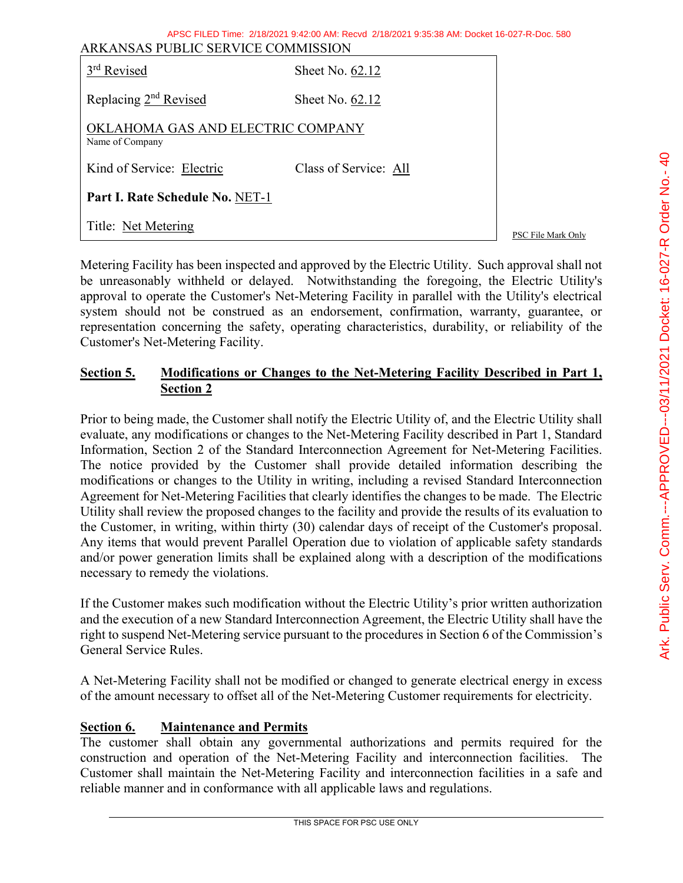| ARKANSAS PUBLIC SERVICE COMMISSION                   | APSC FILED Time: 2/18/2021 9:42:00 AM: Recyd 2/18/2021 9:35:38 AM: Docket 16-027-R-Doc. 580 |                    |
|------------------------------------------------------|---------------------------------------------------------------------------------------------|--------------------|
| 3 <sup>rd</sup> Revised                              | Sheet No. 62.12                                                                             |                    |
| Replacing 2 <sup>nd</sup> Revised                    | Sheet No. 62.12                                                                             |                    |
| OKLAHOMA GAS AND ELECTRIC COMPANY<br>Name of Company |                                                                                             |                    |
| Kind of Service: Electric                            | Class of Service: All                                                                       |                    |
| Part I. Rate Schedule No. NET-1                      |                                                                                             |                    |
| Title: Net Metering                                  |                                                                                             | PSC File Mark Only |

Metering Facility has been inspected and approved by the Electric Utility. Such approval shall not be unreasonably withheld or delayed. Notwithstanding the foregoing, the Electric Utility's approval to operate the Customer's Net-Metering Facility in parallel with the Utility's electrical system should not be construed as an endorsement, confirmation, warranty, guarantee, or representation concerning the safety, operating characteristics, durability, or reliability of the Customer's Net-Metering Facility.

# **Section 5. Modifications or Changes to the Net-Metering Facility Described in Part 1, Section 2**

Prior to being made, the Customer shall notify the Electric Utility of, and the Electric Utility shall evaluate, any modifications or changes to the Net-Metering Facility described in Part 1, Standard Information, Section 2 of the Standard Interconnection Agreement for Net-Metering Facilities. The notice provided by the Customer shall provide detailed information describing the modifications or changes to the Utility in writing, including a revised Standard Interconnection Agreement for Net-Metering Facilities that clearly identifies the changes to be made. The Electric Utility shall review the proposed changes to the facility and provide the results of its evaluation to the Customer, in writing, within thirty (30) calendar days of receipt of the Customer's proposal. Any items that would prevent Parallel Operation due to violation of applicable safety standards and/or power generation limits shall be explained along with a description of the modifications necessary to remedy the violations.

If the Customer makes such modification without the Electric Utility's prior written authorization and the execution of a new Standard Interconnection Agreement, the Electric Utility shall have the right to suspend Net-Metering service pursuant to the procedures in Section 6 of the Commission's General Service Rules.

A Net-Metering Facility shall not be modified or changed to generate electrical energy in excess of the amount necessary to offset all of the Net-Metering Customer requirements for electricity.

# **Section 6. Maintenance and Permits**

The customer shall obtain any governmental authorizations and permits required for the construction and operation of the Net-Metering Facility and interconnection facilities. The Customer shall maintain the Net-Metering Facility and interconnection facilities in a safe and reliable manner and in conformance with all applicable laws and regulations.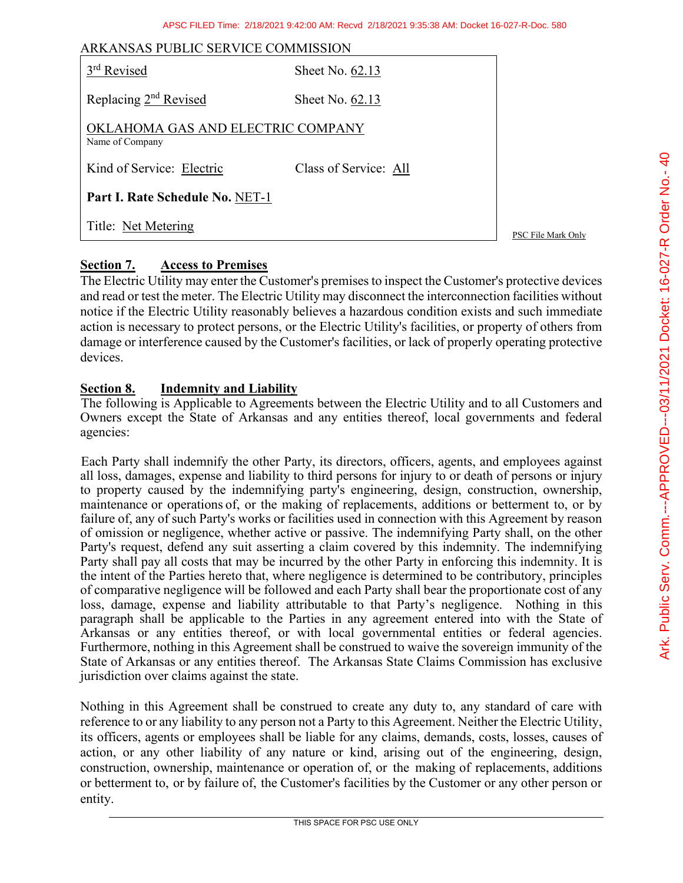| ARKANSAS PUBLIC SERVICE COMMISSION                   |                       |                    |
|------------------------------------------------------|-----------------------|--------------------|
| 3 <sup>rd</sup> Revised                              | Sheet No. 62.13       |                    |
| Replacing 2 <sup>nd</sup> Revised                    | Sheet No. 62.13       |                    |
| OKLAHOMA GAS AND ELECTRIC COMPANY<br>Name of Company |                       |                    |
| Kind of Service: Electric                            | Class of Service: All |                    |
| Part I. Rate Schedule No. NET-1                      |                       |                    |
| Title: Net Metering                                  |                       | PSC File Mark Only |

# **Section 7. Access to Premises**

The Electric Utility may enter the Customer's premises to inspect the Customer's protective devices and read or test the meter. The Electric Utility may disconnect the interconnection facilities without notice if the Electric Utility reasonably believes a hazardous condition exists and such immediate action is necessary to protect persons, or the Electric Utility's facilities, or property of others from damage or interference caused by the Customer's facilities, or lack of properly operating protective devices.

# **Section 8. Indemnity and Liability**

The following is Applicable to Agreements between the Electric Utility and to all Customers and Owners except the State of Arkansas and any entities thereof, local governments and federal agencies:

Each Party shall indemnify the other Party, its directors, officers, agents, and employees against all loss, damages, expense and liability to third persons for injury to or death of persons or injury to property caused by the indemnifying party's engineering, design, construction, ownership, maintenance or operations of, or the making of replacements, additions or betterment to, or by failure of, any of such Party's works or facilities used in connection with this Agreement by reason of omission or negligence, whether active or passive. The indemnifying Party shall, on the other Party's request, defend any suit asserting a claim covered by this indemnity. The indemnifying Party shall pay all costs that may be incurred by the other Party in enforcing this indemnity. It is the intent of the Parties hereto that, where negligence is determined to be contributory, principles of comparative negligence will be followed and each Party shall bear the proportionate cost of any loss, damage, expense and liability attributable to that Party's negligence. Nothing in this paragraph shall be applicable to the Parties in any agreement entered into with the State of Arkansas or any entities thereof, or with local governmental entities or federal agencies. Furthermore, nothing in this Agreement shall be construed to waive the sovereign immunity of the State of Arkansas or any entities thereof. The Arkansas State Claims Commission has exclusive jurisdiction over claims against the state.

Nothing in this Agreement shall be construed to create any duty to, any standard of care with reference to or any liability to any person not a Party to this Agreement. Neither the Electric Utility, its officers, agents or employees shall be liable for any claims, demands, costs, losses, causes of action, or any other liability of any nature or kind, arising out of the engineering, design, construction, ownership, maintenance or operation of, or the making of replacements, additions or betterment to, or by failure of, the Customer's facilities by the Customer or any other person or entity.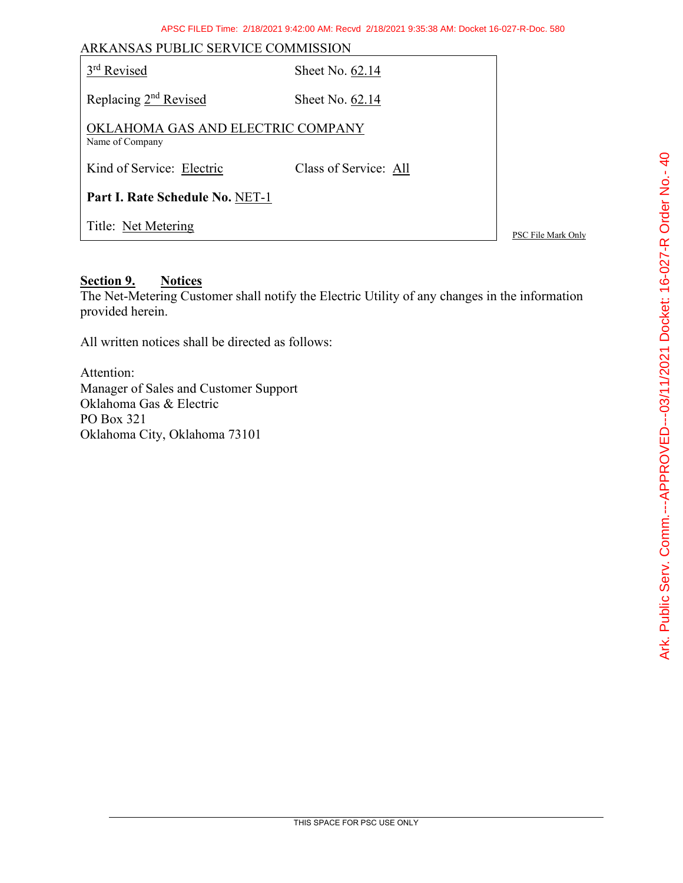| ARKANSAS PUBLIC SERVICE COMMISSION                   |                       |                    |  |
|------------------------------------------------------|-----------------------|--------------------|--|
| 3 <sup>rd</sup> Revised                              | Sheet No. 62.14       |                    |  |
| Replacing 2 <sup>nd</sup> Revised                    | Sheet No. 62.14       |                    |  |
| OKLAHOMA GAS AND ELECTRIC COMPANY<br>Name of Company |                       |                    |  |
| Kind of Service: Electric                            | Class of Service: All |                    |  |
| Part I. Rate Schedule No. NET-1                      |                       |                    |  |
| Title: Net Metering                                  |                       | PSC File Mark Only |  |

#### **Section 9. Notices**

The Net-Metering Customer shall notify the Electric Utility of any changes in the information provided herein.

All written notices shall be directed as follows:

Attention: Manager of Sales and Customer Support Oklahoma Gas & Electric PO Box 321 Oklahoma City, Oklahoma 73101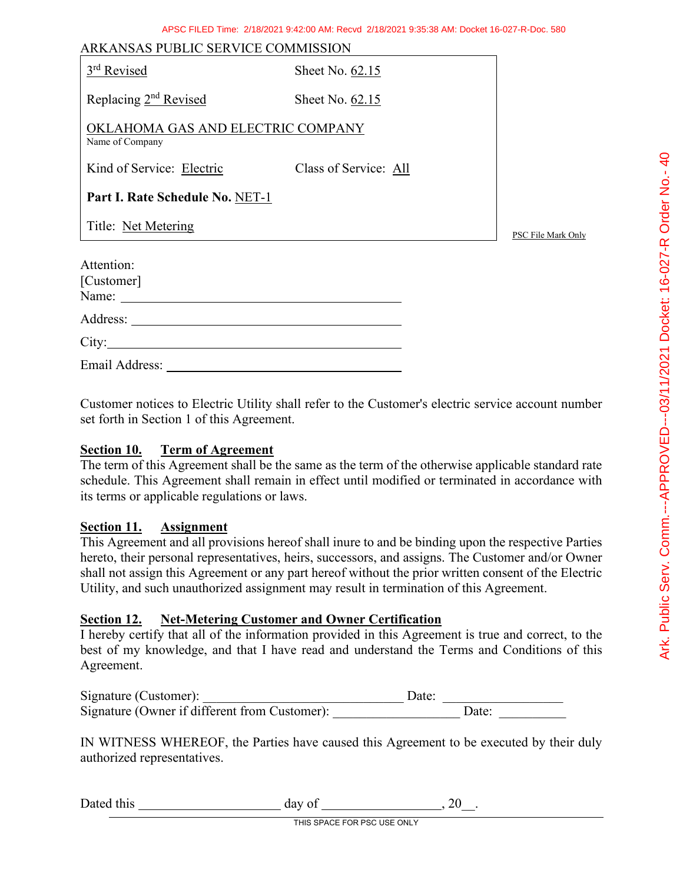| ARKANSAS PUBLIC SERVICE COMMISSION                   |                       |                    |
|------------------------------------------------------|-----------------------|--------------------|
| 3 <sup>rd</sup> Revised                              | Sheet No. 62.15       |                    |
| Replacing 2 <sup>nd</sup> Revised                    | Sheet No. 62.15       |                    |
| OKLAHOMA GAS AND ELECTRIC COMPANY<br>Name of Company |                       |                    |
| Kind of Service: Electric                            | Class of Service: All |                    |
| Part I. Rate Schedule No. NET-1                      |                       |                    |
| Title: Net Metering                                  |                       | PSC File Mark Only |
| Attention:<br>[Customer]                             |                       |                    |
|                                                      |                       |                    |
|                                                      |                       |                    |
| Email Address:                                       |                       |                    |

Customer notices to Electric Utility shall refer to the Customer's electric service account number set forth in Section 1 of this Agreement.

#### **Section 10. Term of Agreement**

The term of this Agreement shall be the same as the term of the otherwise applicable standard rate schedule. This Agreement shall remain in effect until modified or terminated in accordance with its terms or applicable regulations or laws.

#### **Section 11. Assignment**

This Agreement and all provisions hereof shall inure to and be binding upon the respective Parties hereto, their personal representatives, heirs, successors, and assigns. The Customer and/or Owner shall not assign this Agreement or any part hereof without the prior written consent of the Electric Utility, and such unauthorized assignment may result in termination of this Agreement.

#### **Section 12. Net-Metering Customer and Owner Certification**

I hereby certify that all of the information provided in this Agreement is true and correct, to the best of my knowledge, and that I have read and understand the Terms and Conditions of this Agreement.

| Signature (Customer):                         | Date: |  |
|-----------------------------------------------|-------|--|
| Signature (Owner if different from Customer): | Date: |  |

IN WITNESS WHEREOF, the Parties have caused this Agreement to be executed by their duly authorized representatives.

| Dated<br>this | ua |  |
|---------------|----|--|
|---------------|----|--|

THIS SPACE FOR PSC USE ONLY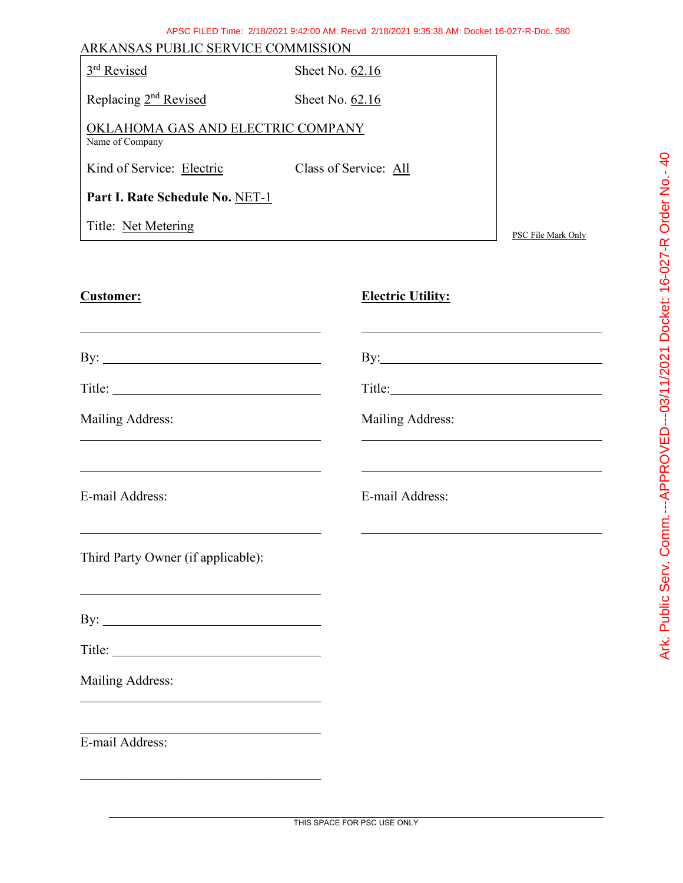| ARKANSAS PUBLIC SERVICE COMMISSION                   |                       |                    |  |  |
|------------------------------------------------------|-----------------------|--------------------|--|--|
| 3rd Revised                                          | Sheet No. $62.16$     |                    |  |  |
| Replacing 2 <sup>nd</sup> Revised                    | Sheet No. $62.16$     |                    |  |  |
| OKLAHOMA GAS AND ELECTRIC COMPANY<br>Name of Company |                       |                    |  |  |
| Kind of Service: Electric                            | Class of Service: All |                    |  |  |
| Part I. Rate Schedule No. NET-1                      |                       |                    |  |  |
| Title: Net Metering                                  |                       | PSC File Mark Only |  |  |
|                                                      |                       |                    |  |  |

# **Customer: Electric Utility:**

| Mailing Address:<br><u> 1989 - Johann Stoff, amerikansk politiker (* 1908)</u>                                                            | Mailing Address:<br><u> 1989 - Johann Stoff, deutscher Stoff, der Stoff, der Stoff, der Stoff, der Stoff, der Stoff, der Stoff, der S</u> |
|-------------------------------------------------------------------------------------------------------------------------------------------|-------------------------------------------------------------------------------------------------------------------------------------------|
| <u> 1989 - Johann Barn, mars ann an t-Amhain ann an t-Amhain ann an t-Amhain ann an t-Amhain an t-Amhain ann an t-</u><br>E-mail Address: | E-mail Address:                                                                                                                           |
| the control of the control of the control of the control of the control of the control of<br>Third Party Owner (if applicable):           | the control of the control of the control of the control of the control of the control of                                                 |
|                                                                                                                                           |                                                                                                                                           |
|                                                                                                                                           |                                                                                                                                           |
| Mailing Address:<br><u> 1989 - Johann John Stone, markin film yn y brening yn y brening y brening yn y brening y brening yn y brenin</u>  |                                                                                                                                           |
| E-mail Address:                                                                                                                           |                                                                                                                                           |